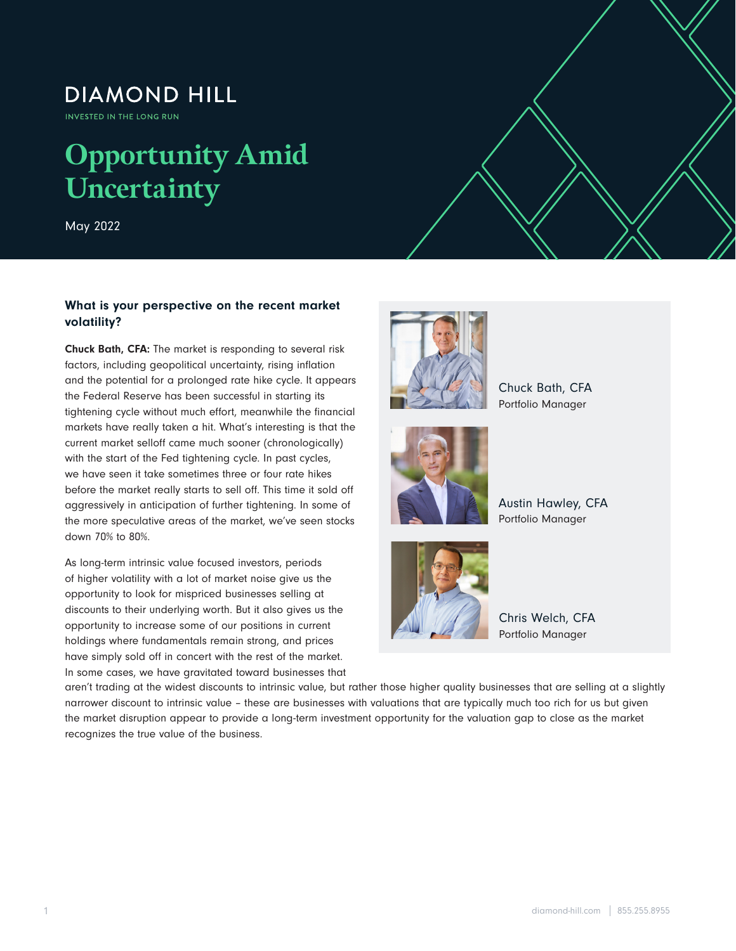## **DIAMOND HILL**

INVESTED IN THE LONG RUN

# **Opportunity Amid Uncertainty**

May 2022

### What is your perspective on the recent market volatility?

Chuck Bath, CFA: The market is responding to several risk factors, including geopolitical uncertainty, rising inflation and the potential for a prolonged rate hike cycle. It appears the Federal Reserve has been successful in starting its tightening cycle without much effort, meanwhile the financial markets have really taken a hit. What's interesting is that the current market selloff came much sooner (chronologically) with the start of the Fed tightening cycle. In past cycles, we have seen it take sometimes three or four rate hikes before the market really starts to sell off. This time it sold off aggressively in anticipation of further tightening. In some of the more speculative areas of the market, we've seen stocks down 70% to 80%.

As long-term intrinsic value focused investors, periods of higher volatility with a lot of market noise give us the opportunity to look for mispriced businesses selling at discounts to their underlying worth. But it also gives us the opportunity to increase some of our positions in current holdings where fundamentals remain strong, and prices have simply sold off in concert with the rest of the market. In some cases, we have gravitated toward businesses that



 $\mathcal{O}_\mathcal{A}$  and  $\mathcal{O}_\mathcal{A}$  and  $\mathcal{O}_\mathcal{A}$  and  $\mathcal{O}_\mathcal{A}$  and  $\mathcal{O}_\mathcal{A}$  and  $\mathcal{O}_\mathcal{A}$  and  $\mathcal{O}_\mathcal{A}$  and  $\mathcal{O}_\mathcal{A}$  and  $\mathcal{O}_\mathcal{A}$  and  $\mathcal{O}_\mathcal{A}$  and  $\mathcal{O}_\mathcal{A}$  and  $\mathcal{O}_\mathcal{A$ 



Chuck Bath, CFA Portfolio Manager

Austin Hawley, CFA Portfolio Manager



Chris Welch, CFA Portfolio Manager

aren't trading at the widest discounts to intrinsic value, but rather those higher quality businesses that are selling at a slightly narrower discount to intrinsic value – these are businesses with valuations that are typically much too rich for us but given the market disruption appear to provide a long-term investment opportunity for the valuation gap to close as the market recognizes the true value of the business.